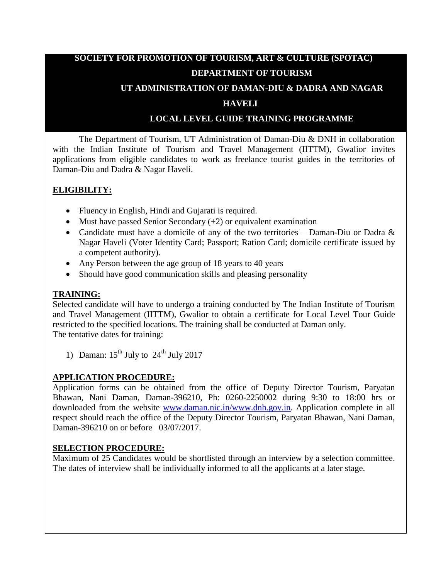# **SOCIETY FOR PROMOTION OF TOURISM, ART & CULTURE (SPOTAC) DEPARTMENT OF TOURISM**

## **UT ADMINISTRATION OF DAMAN-DIU & DADRA AND NAGAR**

#### **HAVELI**

# **LOCAL LEVEL GUIDE TRAINING PROGRAMME**

The Department of Tourism, UT Administration of Daman-Diu & DNH in collaboration with the Indian Institute of Tourism and Travel Management (IITTM), Gwalior invites applications from eligible candidates to work as freelance tourist guides in the territories of Daman-Diu and Dadra & Nagar Haveli.

# **ELIGIBILITY:**

- Fluency in English, Hindi and Gujarati is required.
- Must have passed Senior Secondary  $(+2)$  or equivalent examination
- Candidate must have a domicile of any of the two territories Daman-Diu or Dadra & Nagar Haveli (Voter Identity Card; Passport; Ration Card; domicile certificate issued by a competent authority).
- Any Person between the age group of 18 years to 40 years
- Should have good communication skills and pleasing personality

## **TRAINING:**

Selected candidate will have to undergo a training conducted by The Indian Institute of Tourism and Travel Management (IITTM), Gwalior to obtain a certificate for Local Level Tour Guide restricted to the specified locations. The training shall be conducted at Daman only. The tentative dates for training:

1) Daman:  $15<sup>th</sup>$  July to  $24<sup>th</sup>$  July 2017

# **APPLICATION PROCEDURE:**

Application forms can be obtained from the office of Deputy Director Tourism, Paryatan Bhawan, Nani Daman, Daman-396210, Ph: 0260-2250002 during 9:30 to 18:00 hrs or downloaded from the website [www.daman.nic.in/www.dnh.gov.in.](http://www.daman.nic.in/www.dnh.gov.in) Application complete in all respect should reach the office of the Deputy Director Tourism, Paryatan Bhawan, Nani Daman, Daman-396210 on or before 03/07/2017.

#### **SELECTION PROCEDURE:**

Maximum of 25 Candidates would be shortlisted through an interview by a selection committee. The dates of interview shall be individually informed to all the applicants at a later stage.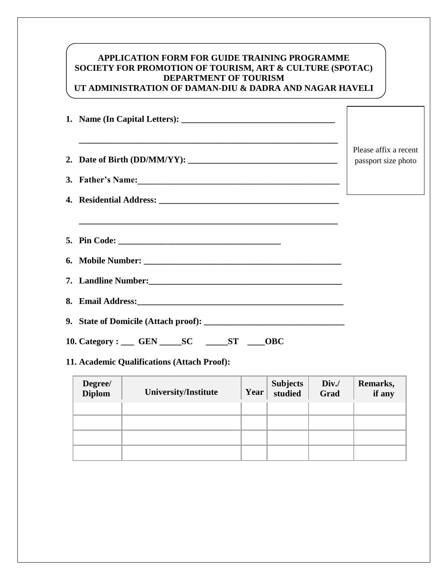## **APPLICATION FORM FOR GUIDE TRAINING PROGRAMME SOCIETY FOR PROMOTION OF TOURISM, ART & CULTURE (SPOTAC) DEPARTMENT OF TOURISM UT ADMINISTRATION OF DAMAN-DIU & DADRA AND NAGAR HAVELI**

| and the control of the control of the control of the control of the control of the control of the control of the | Please affix a recent<br>passport size photo |
|------------------------------------------------------------------------------------------------------------------|----------------------------------------------|
|                                                                                                                  |                                              |
|                                                                                                                  |                                              |
| ,我们也不能在这里的时候,我们也不能在这里的时候,我们也不能会在这里的时候,我们也不能会在这里的时候,我们也不能会在这里的时候,我们也不能会在这里的时候,我们也不                                |                                              |
|                                                                                                                  |                                              |
|                                                                                                                  |                                              |
|                                                                                                                  |                                              |
|                                                                                                                  |                                              |
| 10. Category : ____ GEN _____ SC ______ ST _____<br><b>OBC</b>                                                   |                                              |

# **11. Academic Qualifications (Attach Proof):**

| <b>Degree/</b><br><b>Diplom</b> | University/Institute | Year | Subjects<br>studied | Div.<br>Grad | Remarks,<br>if any |
|---------------------------------|----------------------|------|---------------------|--------------|--------------------|
|                                 |                      |      |                     |              |                    |
|                                 |                      |      |                     |              |                    |
|                                 |                      |      |                     |              |                    |
|                                 |                      |      |                     |              |                    |